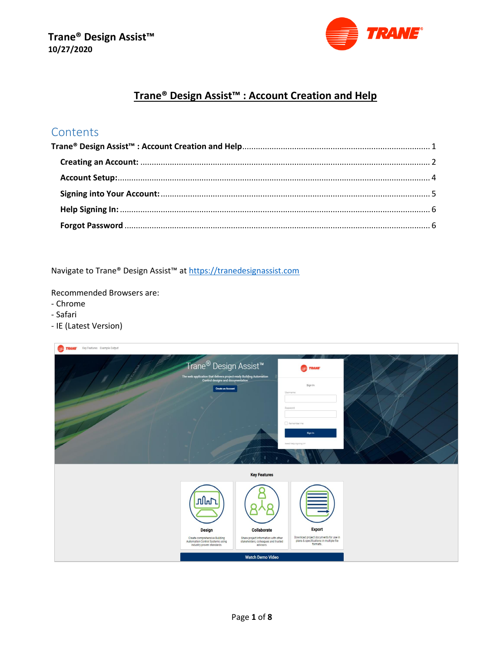

# Trane® Design Assist<sup>™</sup> : Account Creation and Help

# <span id="page-0-0"></span>Contents

Navigate to Trane® Design Assist<sup>™</sup> at https://tranedesignassist.com

Recommended Browsers are:

- Chrome
- Safari
- IE (Latest Version)

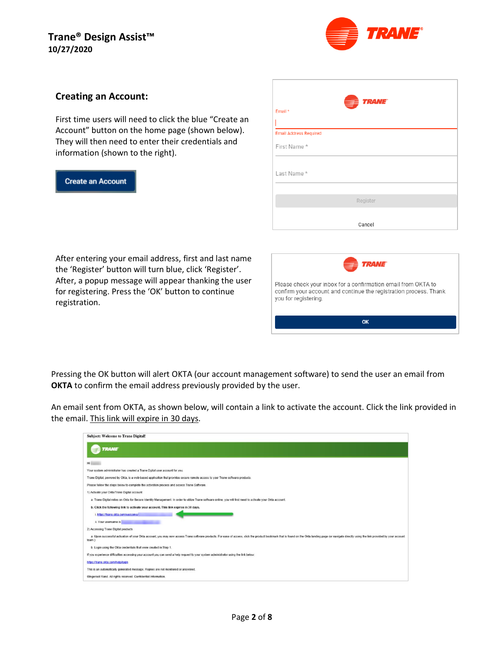

#### <span id="page-1-0"></span>**Creating an Account:**

First time users will need to click the blue "Create an Account" button on the home page (shown below). They will then need to enter their credentials and information (shown to the right).

#### **Create an Account**

| <b>TRANE</b><br>$\equiv$<br>Email* |
|------------------------------------|
|                                    |
| <b>Email Address Required</b>      |
| First Name*                        |
|                                    |
| Last Name*                         |
|                                    |
| Register                           |
|                                    |
| Cancel                             |

After entering your email address, first and last name the 'Register' button will turn blue, click 'Register'. After, a popup message will appear thanking the user for registering. Press the 'OK' button to continue registration.



Pressing the OK button will alert OKTA (our account management software) to send the user an email from **OKTA** to confirm the email address previously provided by the user.

An email sent from OKTA, as shown below, will contain a link to activate the account. Click the link provided in the email. This link will expire in 30 days.

| <b>Subject: Welcome to Trane Digital!</b>                                                                                                                                                                                                |
|------------------------------------------------------------------------------------------------------------------------------------------------------------------------------------------------------------------------------------------|
| <b>TRANE</b>                                                                                                                                                                                                                             |
| Hi                                                                                                                                                                                                                                       |
| Your system administrator has created a Trane Dgital user account for you.                                                                                                                                                               |
| Trane Digital, powered by Okta, is a web-based application that provides secure remote access to your Trane software products.                                                                                                           |
| Please follow the steps below to complete the activation process and access Trane Software.                                                                                                                                              |
| 1) Activate your Okta/Trane Digital account                                                                                                                                                                                              |
| a. Trane Digital relies on Okta for Secure Identity Management. In order to utilize Trane software online, you will first need to activate your Okta account.                                                                            |
| b. Click the following link to activate your account. This link expires in 30 days.                                                                                                                                                      |
| i. https://trane.okta.com/welcome/                                                                                                                                                                                                       |
| ii. Your username is                                                                                                                                                                                                                     |
| 2) Accessing Trane Digital products                                                                                                                                                                                                      |
| a. Upon successful activation of your Okta account, you may now access Trane software products. For ease of access, click the product bookmark that is found on the Okta landing page (or navigate directly using the link pro<br>team.) |
| b. Login using the Okta credentials that were created in Step 1.                                                                                                                                                                         |
| If you experience difficulties accessing your account you can send a help request to your system administrator using the link below:                                                                                                     |
| https://trane.okta.com/help/loqin                                                                                                                                                                                                        |
| This is an automatically generated message. Replies are not monitored or answered.                                                                                                                                                       |
| Cingersoli Rand. All rights reserved. Confidential Information.                                                                                                                                                                          |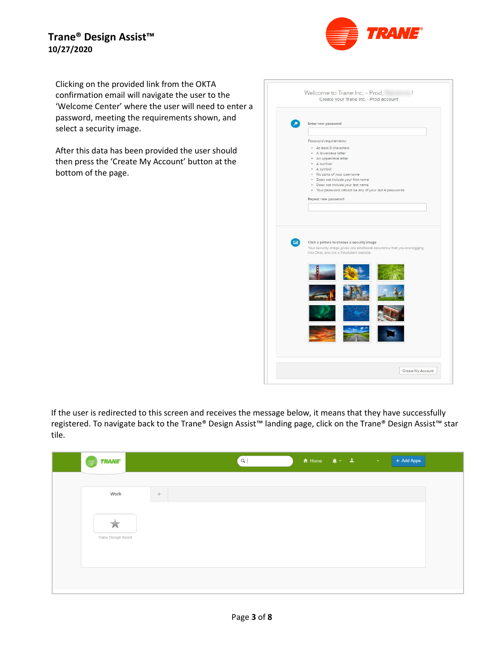

Clicking on the provided link from the OKTA confirmation email will navigate the user to the 'Welcome Center' where the user will need to enter a password, meeting the requirements shown, and select a security image.

After this data has been provided the user should then press the 'Create My Account' button at the bottom of the page.

|   | Enter new password                                                                                                  |
|---|---------------------------------------------------------------------------------------------------------------------|
|   |                                                                                                                     |
|   | Password requirements:                                                                                              |
|   |                                                                                                                     |
|   | · At least 8 characters<br>A lowercase letter<br>×                                                                  |
|   | An uppercose letter<br>٠                                                                                            |
|   | · A number                                                                                                          |
|   | · A symbol                                                                                                          |
|   | . No parts of your username                                                                                         |
|   | · Does not include your first name                                                                                  |
|   | · Does not include your last name                                                                                   |
|   | . Your password cannot be any of your last 4 passwords                                                              |
|   | Repeat new password                                                                                                 |
|   |                                                                                                                     |
|   |                                                                                                                     |
| F | Click a picture to choose a security image                                                                          |
|   | Your security image gives you additional assurance that you are logging<br>into Okta, and not a fraudulent website. |
|   |                                                                                                                     |
|   |                                                                                                                     |

If the user is redirected to this screen and receives the message below, it means that they have successfully registered. To navigate back to the Trane® Design Assist™ landing page, click on the Trane® Design Assist™ star tile.

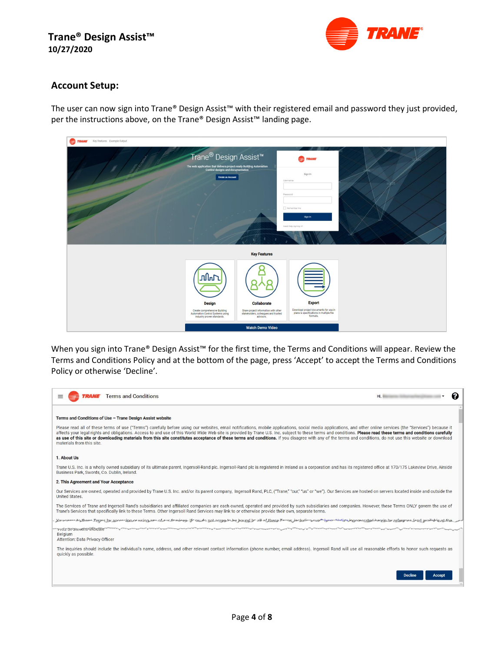

#### <span id="page-3-0"></span>**Account Setup:**

The user can now sign into Trane® Design Assist™ with their registered email and password they just provided, per the instructions above, on the Trane® Design Assist<sup>™</sup> landing page.



When you sign into Trane® Design Assist™ for the first time, the Terms and Conditions will appear. Review the Terms and Conditions Policy and at the bottom of the page, press 'Accept' to accept the Terms and Conditions Policy or otherwise 'Decline'.

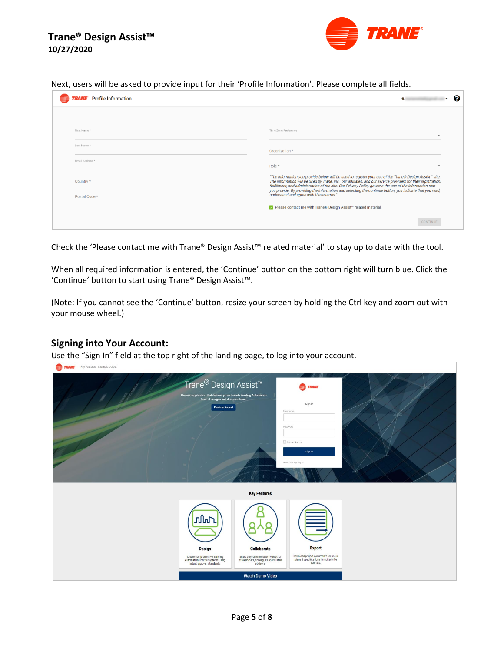

Next, users will be asked to provide input for their 'Profile Information'. Please complete all fields.

| <b>Profile Information</b> | Hi.                                                                                                                                                                                                                                                                                                                                  |
|----------------------------|--------------------------------------------------------------------------------------------------------------------------------------------------------------------------------------------------------------------------------------------------------------------------------------------------------------------------------------|
|                            |                                                                                                                                                                                                                                                                                                                                      |
| First Name*                | Time Zone Preference                                                                                                                                                                                                                                                                                                                 |
| Last Name*                 | Organization *                                                                                                                                                                                                                                                                                                                       |
| Email Address*             | Role *                                                                                                                                                                                                                                                                                                                               |
| Country *                  | "The information you provide below will be used to register your use of the Trane® Design Assist™ site.<br>The information will be used by Trane, Inc., our affiliates, and our service providers for their registration,<br>fulfillment, and administration of the site. Our Privacy Policy governs the use of the information that |
| Postal Code *              | you provide. By providing the information and selecting the continue button, you indicate that you read,<br>understand and agree with these terms."                                                                                                                                                                                  |
|                            | √ Please contact me with Trane® Design Assist™ related material.                                                                                                                                                                                                                                                                     |
|                            | CONTINUE                                                                                                                                                                                                                                                                                                                             |

Check the 'Please contact me with Trane® Design Assist™ related material' to stay up to date with the tool.

When all required information is entered, the 'Continue' button on the bottom right will turn blue. Click the 'Continue' button to start using Trane® Design Assist™.

(Note: If you cannot see the 'Continue' button, resize your screen by holding the Ctrl key and zoom out with your mouse wheel.)

#### <span id="page-4-0"></span>**Signing into Your Account:**

Use the "Sign In" field at the top right of the landing page, to log into your account.

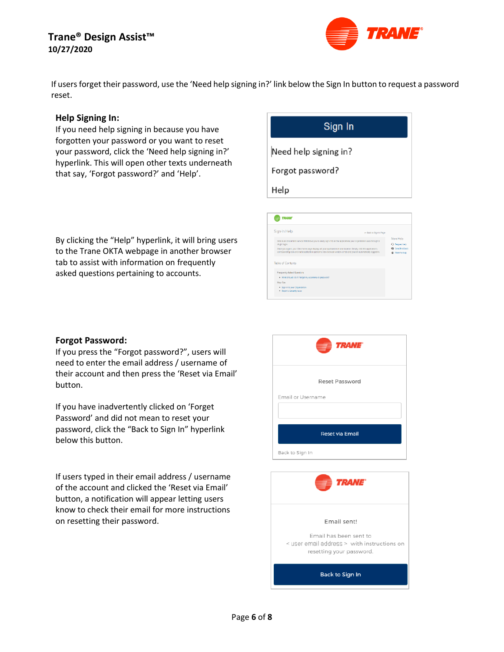

If users forget their password, use the 'Need help signing in?' link below the Sign In button to request a password reset.

#### <span id="page-5-0"></span>**Help Signing In:**

If you need help signing in because you have forgotten your password or you want to reset your password, click the 'Need help signing in?' hyperlink. This will open other texts underneath that say, 'Forgot password?' and 'Help'.

By clicking the "Help" hyperlink, it will bring users to the Trane OKTA webpage in another browser tab to assist with information on frequently asked questions pertaining to accounts.

# Sign In Need help signing in? Forgot password? Help

| <b><i>TRANE</i></b>                                                                                                                                                                                                                                                                                                                                                                   |                        |                                                                       |
|---------------------------------------------------------------------------------------------------------------------------------------------------------------------------------------------------------------------------------------------------------------------------------------------------------------------------------------------------------------------------------------|------------------------|-----------------------------------------------------------------------|
| Sign-In Help                                                                                                                                                                                                                                                                                                                                                                          | - Back to Sign-In Page |                                                                       |
| Okta is an on-demand service that allows you to easily sign-in to all the applications your organization uses through a<br>single login.<br>Once you sign in, your Okta home page displays all your applications in one location. Simply, click the application's<br>corresponding icon and each application opens in a new browser window or tab and you are automatically logged-in |                        | More Help<br>O Request help<br>Send feedback<br><b>M</b> Report a bug |
| Table of Contents<br>Frequently Asked Questions                                                                                                                                                                                                                                                                                                                                       |                        |                                                                       |
| . What should I do if I forget my username or password?<br><b>How Tos</b>                                                                                                                                                                                                                                                                                                             |                        |                                                                       |
| · Sign-in to your Organization<br>- Report a Security Issue                                                                                                                                                                                                                                                                                                                           |                        |                                                                       |

#### <span id="page-5-1"></span>**Forgot Password:**

If you press the "Forgot password?", users will need to enter the email address / username of their account and then press the 'Reset via Email' button.

If you have inadvertently clicked on 'Forget Password' and did not mean to reset your password, click the "Back to Sign In" hyperlink below this button.

If users typed in their email address / username of the account and clicked the 'Reset via Email' button, a notification will appear letting users know to check their email for more instructions on resetting their password.



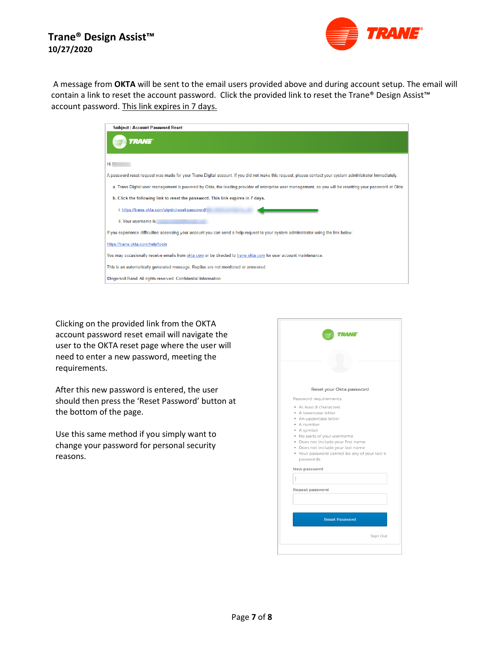

A message from **OKTA** will be sent to the email users provided above and during account setup. The email will contain a link to reset the account password. Click the provided link to reset the Trane® Design Assist™ account password. This link expires in 7 days.

| a. Trane Digital user management is powered by Okta, the leading provider of enterprise user management, so you will be resetting your password at Okta. |
|----------------------------------------------------------------------------------------------------------------------------------------------------------|
|                                                                                                                                                          |
|                                                                                                                                                          |
|                                                                                                                                                          |
|                                                                                                                                                          |
|                                                                                                                                                          |
|                                                                                                                                                          |
|                                                                                                                                                          |
|                                                                                                                                                          |
|                                                                                                                                                          |

Clicking on the provided link from the OKTA account password reset email will navigate the user to the OKTA reset page where the user will need to enter a new password, meeting the requirements.

After this new password is entered, the user should then press the 'Reset Password' button at the bottom of the page.

Use this same method if you simply want to change your password for personal security reasons.